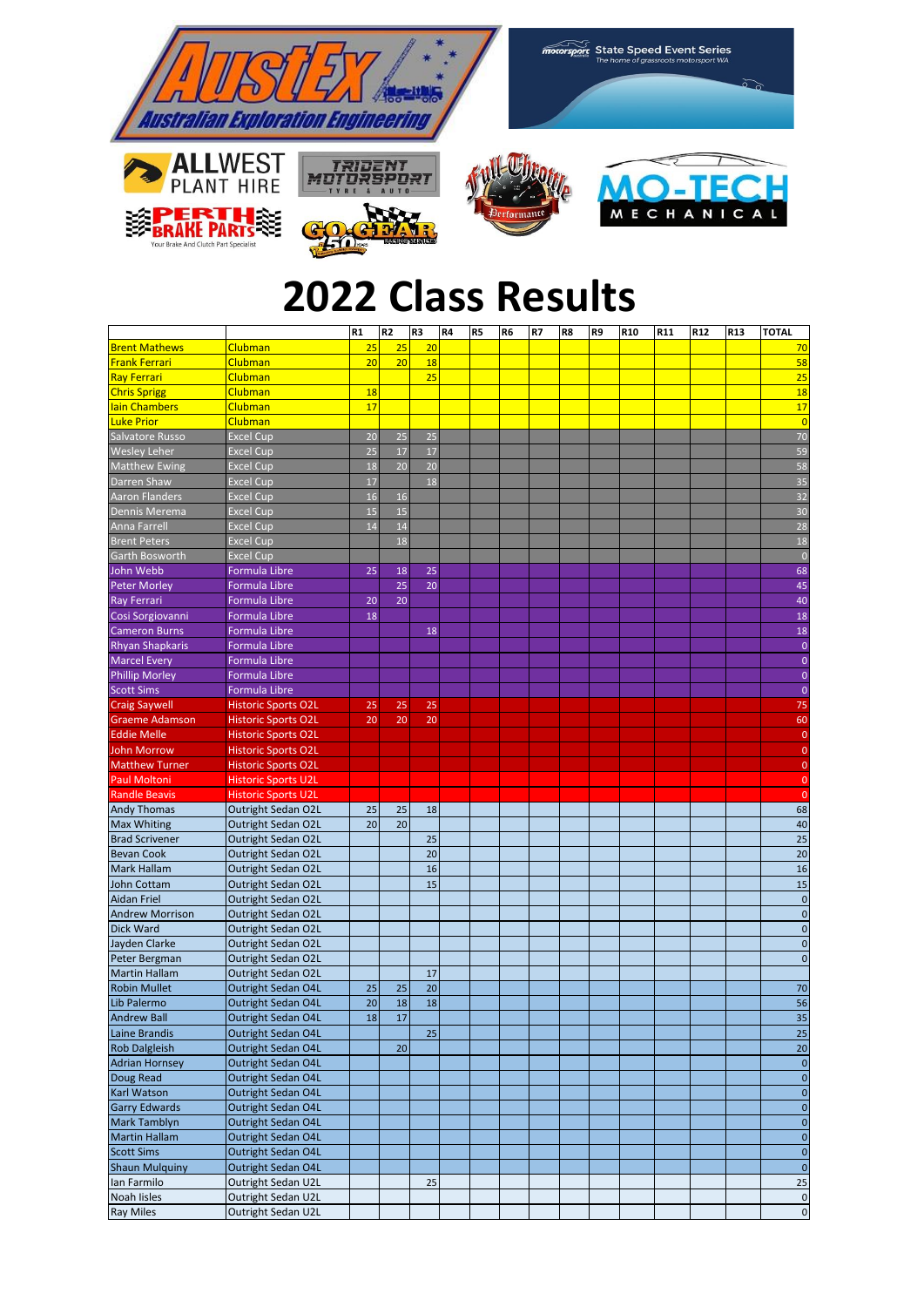

## **2022 Class Results**

|                        |                            | R1 | R2 | R3 | R4 | R <sub>5</sub> | R <sub>6</sub> | R7 | R8 | R9 | R <sub>10</sub> | R <sub>11</sub> | R <sub>12</sub> | R <sub>13</sub> | <b>TOTAL</b>       |
|------------------------|----------------------------|----|----|----|----|----------------|----------------|----|----|----|-----------------|-----------------|-----------------|-----------------|--------------------|
| <b>Brent Mathews</b>   | Clubman                    | 25 | 25 | 20 |    |                |                |    |    |    |                 |                 |                 |                 | 70                 |
| <b>Frank Ferrari</b>   | <b>Clubman</b>             | 20 | 20 | 18 |    |                |                |    |    |    |                 |                 |                 |                 | 58                 |
| <b>Ray Ferrari</b>     | Clubman                    |    |    | 25 |    |                |                |    |    |    |                 |                 |                 |                 | 25                 |
| <b>Chris Sprigg</b>    | <b>Clubman</b>             | 18 |    |    |    |                |                |    |    |    |                 |                 |                 |                 | 18                 |
| lain Chambers          | <b>Clubman</b>             | 17 |    |    |    |                |                |    |    |    |                 |                 |                 |                 | 17                 |
| <b>Luke Prior</b>      | <b>Clubman</b>             |    |    |    |    |                |                |    |    |    |                 |                 |                 |                 | $\overline{0}$     |
| Salvatore Russo        | <b>Excel Cup</b>           | 20 | 25 | 25 |    |                |                |    |    |    |                 |                 |                 |                 | 70                 |
| Wesley Leher           | <b>Excel Cup</b>           | 25 | 17 | 17 |    |                |                |    |    |    |                 |                 |                 |                 | 59                 |
| <b>Matthew Ewing</b>   | <b>Excel Cup</b>           | 18 | 20 | 20 |    |                |                |    |    |    |                 |                 |                 |                 | 58                 |
| Darren Shaw            | <b>Excel Cup</b>           | 17 |    | 18 |    |                |                |    |    |    |                 |                 |                 |                 | 35                 |
| <b>Aaron Flanders</b>  | <b>Excel Cup</b>           | 16 | 16 |    |    |                |                |    |    |    |                 |                 |                 |                 | 32                 |
| Dennis Merema          |                            | 15 | 15 |    |    |                |                |    |    |    |                 |                 |                 |                 | 30                 |
|                        | <b>Excel Cup</b>           | 14 | 14 |    |    |                |                |    |    |    |                 |                 |                 |                 | 28                 |
| <b>Anna Farrell</b>    | <b>Excel Cup</b>           |    | 18 |    |    |                |                |    |    |    |                 |                 |                 |                 | 18                 |
| <b>Brent Peters</b>    | <b>Excel Cup</b>           |    |    |    |    |                |                |    |    |    |                 |                 |                 |                 |                    |
| Garth Bosworth         | <b>Excel Cup</b>           |    |    |    |    |                |                |    |    |    |                 |                 |                 |                 | $\overline{0}$     |
| John Webb              | Formula Libre              | 25 | 18 | 25 |    |                |                |    |    |    |                 |                 |                 |                 | 68                 |
| <b>Peter Morley</b>    | <b>Formula Libre</b>       |    | 25 | 20 |    |                |                |    |    |    |                 |                 |                 |                 | 45                 |
| <b>Ray Ferrari</b>     | Formula Libre              | 20 | 20 |    |    |                |                |    |    |    |                 |                 |                 |                 | 40                 |
| Cosi Sorgiovanni       | Formula Libre              | 18 |    |    |    |                |                |    |    |    |                 |                 |                 |                 | 18                 |
| <b>Cameron Burns</b>   | Formula Libre              |    |    | 18 |    |                |                |    |    |    |                 |                 |                 |                 | 18                 |
| <b>Rhyan Shapkaris</b> | Formula Libre              |    |    |    |    |                |                |    |    |    |                 |                 |                 |                 | $\bf 0$            |
| <b>Marcel Every</b>    | <b>Formula Libre</b>       |    |    |    |    |                |                |    |    |    |                 |                 |                 |                 | $\mathbf{0}$       |
| <b>Phillip Morley</b>  | Formula Libre              |    |    |    |    |                |                |    |    |    |                 |                 |                 |                 | $\mathbf{0}$       |
| <b>Scott Sims</b>      | Formula Libre              |    |    |    |    |                |                |    |    |    |                 |                 |                 |                 | $\mathbf{0}$       |
| <b>Craig Saywell</b>   | <b>Historic Sports O2L</b> | 25 | 25 | 25 |    |                |                |    |    |    |                 |                 |                 |                 | 75                 |
| Graeme Adamson         | <b>Historic Sports O2L</b> | 20 | 20 | 20 |    |                |                |    |    |    |                 |                 |                 |                 | 60                 |
| <b>Eddie Melle</b>     | <b>Historic Sports O2L</b> |    |    |    |    |                |                |    |    |    |                 |                 |                 |                 | $\mathbf{0}$       |
| John Morrow            | <b>Historic Sports O2L</b> |    |    |    |    |                |                |    |    |    |                 |                 |                 |                 | $\overline{0}$     |
| <b>Matthew Turner</b>  | <b>Historic Sports O2L</b> |    |    |    |    |                |                |    |    |    |                 |                 |                 |                 | $\mathbf{0}$       |
| <b>Paul Moltoni</b>    | <b>Historic Sports U2L</b> |    |    |    |    |                |                |    |    |    |                 |                 |                 |                 | $\overline{0}$     |
| <b>Randle Beavis</b>   | <b>Historic Sports U2L</b> |    |    |    |    |                |                |    |    |    |                 |                 |                 |                 | $\mathbf{0}$       |
| <b>Andy Thomas</b>     | Outright Sedan O2L         | 25 | 25 | 18 |    |                |                |    |    |    |                 |                 |                 |                 | 68                 |
| <b>Max Whiting</b>     | Outright Sedan O2L         | 20 | 20 |    |    |                |                |    |    |    |                 |                 |                 |                 | 40                 |
| <b>Brad Scrivener</b>  | Outright Sedan O2L         |    |    | 25 |    |                |                |    |    |    |                 |                 |                 |                 | 25                 |
| <b>Bevan Cook</b>      | Outright Sedan O2L         |    |    | 20 |    |                |                |    |    |    |                 |                 |                 |                 | 20                 |
| Mark Hallam            | Outright Sedan O2L         |    |    | 16 |    |                |                |    |    |    |                 |                 |                 |                 | 16                 |
| John Cottam            | Outright Sedan O2L         |    |    | 15 |    |                |                |    |    |    |                 |                 |                 |                 | 15                 |
| Aidan Friel            | Outright Sedan O2L         |    |    |    |    |                |                |    |    |    |                 |                 |                 |                 | $\mathbf 0$        |
| Andrew Morrison        | Outright Sedan O2L         |    |    |    |    |                |                |    |    |    |                 |                 |                 |                 | $\mathbf 0$        |
| Dick Ward              | Outright Sedan O2L         |    |    |    |    |                |                |    |    |    |                 |                 |                 |                 | $\mathbf 0$        |
| Jayden Clarke          | Outright Sedan O2L         |    |    |    |    |                |                |    |    |    |                 |                 |                 |                 | $\mathbf 0$        |
| Peter Bergman          | Outright Sedan O2L         |    |    |    |    |                |                |    |    |    |                 |                 |                 |                 | $\mathbf 0$        |
| Martin Hallam          | Outright Sedan O2L         |    |    | 17 |    |                |                |    |    |    |                 |                 |                 |                 |                    |
| <b>Robin Mullet</b>    | Outright Sedan O4L         | 25 | 25 | 20 |    |                |                |    |    |    |                 |                 |                 |                 | 70                 |
| Lib Palermo            | Outright Sedan O4L         | 20 | 18 | 18 |    |                |                |    |    |    |                 |                 |                 |                 | 56                 |
| Andrew Ball            | Outright Sedan O4L         | 18 | 17 |    |    |                |                |    |    |    |                 |                 |                 |                 | 35                 |
| Laine Brandis          | Outright Sedan O4L         |    |    | 25 |    |                |                |    |    |    |                 |                 |                 |                 | 25                 |
| <b>Rob Dalgleish</b>   | Outright Sedan O4L         |    | 20 |    |    |                |                |    |    |    |                 |                 |                 |                 | 20                 |
| <b>Adrian Hornsey</b>  | Outright Sedan O4L         |    |    |    |    |                |                |    |    |    |                 |                 |                 |                 | $\mathbf{0}$       |
| Doug Read              | Outright Sedan O4L         |    |    |    |    |                |                |    |    |    |                 |                 |                 |                 | $\pmb{0}$          |
| Karl Watson            | Outright Sedan O4L         |    |    |    |    |                |                |    |    |    |                 |                 |                 |                 | $\pmb{0}$          |
| <b>Garry Edwards</b>   | Outright Sedan O4L         |    |    |    |    |                |                |    |    |    |                 |                 |                 |                 | $\pmb{0}$          |
|                        |                            |    |    |    |    |                |                |    |    |    |                 |                 |                 |                 |                    |
| Mark Tamblyn           | Outright Sedan O4L         |    |    |    |    |                |                |    |    |    |                 |                 |                 |                 | $\pmb{0}$          |
| Martin Hallam          | Outright Sedan O4L         |    |    |    |    |                |                |    |    |    |                 |                 |                 |                 | $\pmb{0}$          |
| <b>Scott Sims</b>      | Outright Sedan O4L         |    |    |    |    |                |                |    |    |    |                 |                 |                 |                 | $\pmb{\mathsf{O}}$ |
| <b>Shaun Mulquiny</b>  | Outright Sedan O4L         |    |    |    |    |                |                |    |    |    |                 |                 |                 |                 | $\pmb{0}$          |
| Ian Farmilo            | Outright Sedan U2L         |    |    | 25 |    |                |                |    |    |    |                 |                 |                 |                 | 25                 |
| Noah Iisles            | Outright Sedan U2L         |    |    |    |    |                |                |    |    |    |                 |                 |                 |                 | $\pmb{0}$          |
| <b>Ray Miles</b>       | Outright Sedan U2L         |    |    |    |    |                |                |    |    |    |                 |                 |                 |                 | $\circ$            |